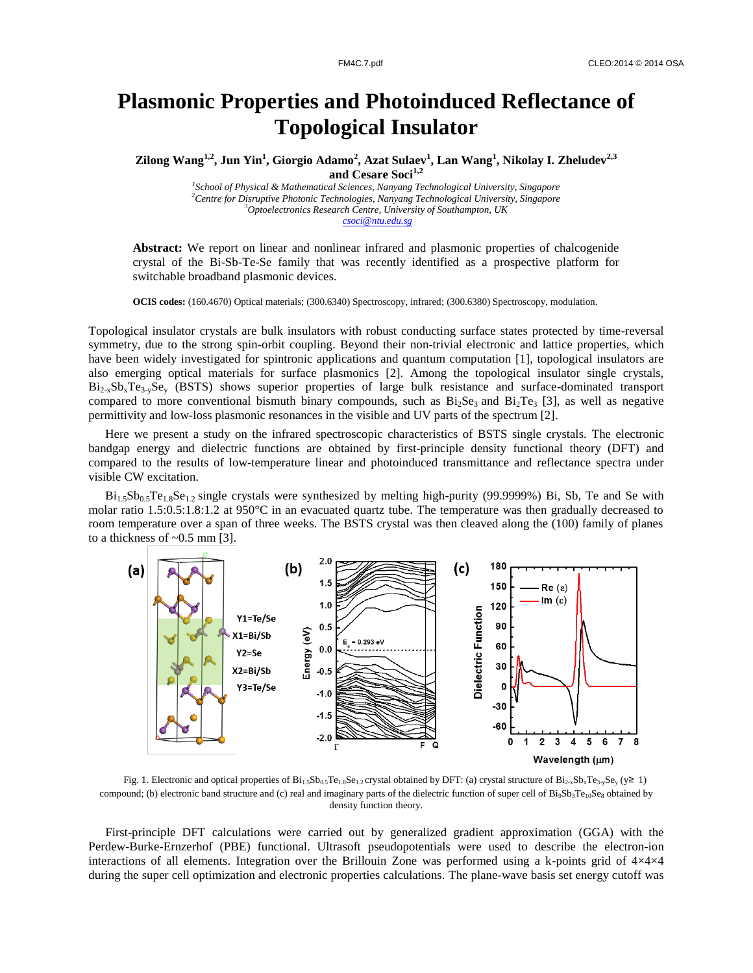## **Plasmonic Properties and Photoinduced Reflectance of Topological Insulator**

**Zilong Wang1,2 , Jun Yin<sup>1</sup> , Giorgio Adamo<sup>2</sup> , Azat Sulaev<sup>1</sup> , Lan Wang<sup>1</sup> , Nikolay I. Zheludev2,3 and Cesare Soci1,2**

> *School of Physical & Mathematical Sciences, Nanyang Technological University, Singapore Centre for Disruptive Photonic Technologies, Nanyang Technological University, Singapore Optoelectronics Research Centre, University of Southampton, UK csoci@ntu.edu.sg*

Abstract: We report on linear and nonlinear infrared and plasmonic properties of chalcogenide crystal of the Bi-Sb-Te-Se family that was recently identified as a prospective platform for switchable broadband plasmonic devices.

**OCIS codes:** (160.4670) Optical materials; (300.6340) Spectroscopy, infrared; (300.6380) Spectroscopy, modulation.

Topological insulator crystals are bulk insulators with robust conducting surface states protected by time-reversal symmetry, due to the strong spin-orbit coupling. Beyond their non-trivial electronic and lattice properties, which have been widely investigated for spintronic applications and quantum computation [1], topological insulators are also emerging optical materials for surface plasmonics [2]. Among the topological insulator single crystals,  $Bi_{2x}Sb_xTe_{3x}Se_y$  (BSTS) shows superior properties of large bulk resistance and surface-dominated transport compared to more conventional bismuth binary compounds, such as  $Bi_2Se_3$  and  $Bi_2Te_3$  [3], as well as negative permittivity and low-loss plasmonic resonances in the visible and UV parts of the spectrum [2].

Here we present a study on the infrared spectroscopic characteristics of BSTS single crystals. The electronic bandgap energy and dielectric functions are obtained by first-principle density functional theory (DFT) and compared to the results of low-temperature linear and photoinduced transmittance and reflectance spectra under visible CW excitation.

 $Bi_{1.5}Sb_{0.5}Te_{1.8}Se_{1.2}$  single crystals were synthesized by melting high-purity (99.9999%) Bi, Sb, Te and Se with molar ratio 1.5:0.5:1.8:1.2 at 950°C in an evacuated quartz tube. The temperature was then gradually decreased to room temperature over a span of three weeks. The BSTS crystal was then cleaved along the (100) family of planes to a thickness of  $\sim 0.5$  mm [3].



Fig. 1. Electronic and optical properties of  $Bi_{1.5}Sb_{0.5}Te_{1.8}Se_{1.2}$  crystal obtained by DFT: (a) crystal structure of  $Bi_{2x}Sb_xTe_3, Se_y$  (y≥ 1) compound; (b) electronic band structure and (c) real and imaginary parts of the dielectric function of super cell of  $Bi_9Sb_3Te_{10}Se_8$  obtained by density function theory.

First-principle DFT calculations were carried out by generalized gradient approximation (GGA) with the Perdew-Burke-Ernzerhof (PBE) functional. Ultrasoft pseudopotentials were used to describe the electron-ion interactions of all elements. Integration over the Brillouin Zone was performed using a k-points grid of 4×4×4 during the super cell optimization and electronic properties calculations. The plane-wave basis set energy cutoff was